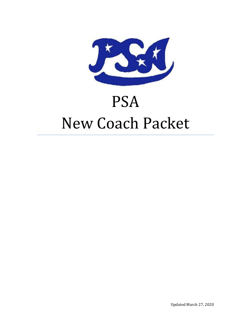

# PSA New Coach Packet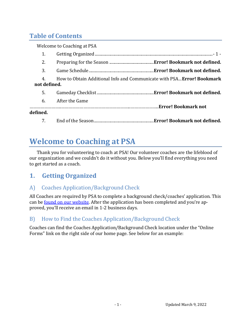### **Table of Contents**

| <b>Welcome to Coaching at PSA</b>                                                            |          |
|----------------------------------------------------------------------------------------------|----------|
| 1.                                                                                           |          |
| 2.                                                                                           |          |
| 3.                                                                                           |          |
| How to Obtain Additional Info and Communicate with PSA Error! Bookmark<br>4.<br>not defined. |          |
| 5.                                                                                           |          |
| After the Game<br>6.                                                                         |          |
|                                                                                              | defined. |
| 7.                                                                                           |          |

# **Welcome to Coaching at PSA**

Thank you for volunteering to coach at PSA! Our volunteer coaches are the lifeblood of our organization and we couldn't do it without you. Below you'll find everything you need to get started as a coach.

### **1. Getting Organized**

### <span id="page-1-0"></span>A) Coaches Application/Background Check

All Coaches are required by PSA to complete a background check/coaches' application. This can be <u>found on our website</u>. After the application has been completed and you're approved, you'll receive an email in 1-2 business days.

### B) How to Find the Coaches Application/Background Check

Coaches can find the Coaches Application/Background Check location under the "Online Forms" link on the right side of our home page. See below for an example: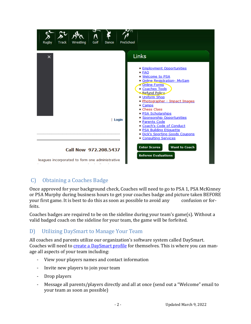| Golf<br>Track<br>Wrestling<br>Dance<br><b>Rugby</b> | PreSchool                                                                                                                                                                                                                                                                                                                                                                                                             |
|-----------------------------------------------------|-----------------------------------------------------------------------------------------------------------------------------------------------------------------------------------------------------------------------------------------------------------------------------------------------------------------------------------------------------------------------------------------------------------------------|
| $\times$                                            | Links                                                                                                                                                                                                                                                                                                                                                                                                                 |
| Login                                               | <b>Employment Opportunities</b><br>■ FAQ<br>· Welcome to PSA<br>Online Registration- MySam<br>- Online Forms<br>Coaches Tools<br>- Refund Policy<br>Uniform Shop<br>Photographer - Impact Images<br>■ Camps<br>• Chess Class<br>■ PSA Scholarships<br>· Sponsorship Opportunities<br>Parents Code<br>Coach's Code of Conduct<br><b>PSA Building Etiquette</b><br>Dick's Sporting Goods Coupons<br>Consulting Services |
| Call Now 972.208.5437                               | <b>Want to Coach</b><br><b>Enter Scores</b><br><b>Referee Evaluations</b>                                                                                                                                                                                                                                                                                                                                             |
| leagues incorporated to form one administrative     |                                                                                                                                                                                                                                                                                                                                                                                                                       |

### C) Obtaining a Coaches Badge

Once approved for your background check, Coaches will need to go to PSA 1, PSA McKinney or PSA Murphy during business hours to get your coaches badge and picture taken BEFORE your first game. It is best to do this as soon as possible to avoid any confusion or forfeits.

Coaches badges are required to be on the sideline during your team's game(s). Without a valid badged coach on the sideline for your team, the game will be forfeited.

### D) Utilizing DaySmart to Manage Your Team

All coaches and parents utilize our organization's software system called DaySmart. Coaches will need to [create a DaySmart](https://apps.dashplatform.com/dash/index.php?Action=Auth/login&company=psa) profile for themselves. This is where you can manage all aspects of your team including:

- View your players names and contact information
- Invite new players to join your team
- Drop players
- Message all parents/players directly and all at once (send out a "Welcome" email to your team as soon as possible)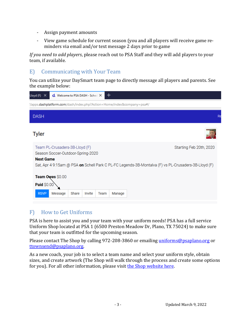- Assign payment amounts
- View game schedule for current season (you and all players will receive game reminders via email and/or text message 2 days prior to game

*If you need to add players*, please reach out to PSA Staff and they will add players to your team, if available.

### E) Communicating with Your Team

You can utilize your DaySmart team page to directly message all players and parents. See the example below:

| +<br>$d$ , Welcome to PSA DASH - Sched $\times$<br>Lloyd (F)<br>$\times$                                                                                                                       |                         |
|------------------------------------------------------------------------------------------------------------------------------------------------------------------------------------------------|-------------------------|
| //apps.dashplatform.com/dash/index.php?Action=Home/index&company=psa#/                                                                                                                         |                         |
| <b>DASH</b>                                                                                                                                                                                    | R                       |
| <b>Tyler</b>                                                                                                                                                                                   |                         |
| Team PL-Crusaders-3B-Lloyd (F)<br>Season Soccer-Outdoor-Spring-2020<br><b>Next Game</b><br>Sat, Apr 4 9:15am @ PSA on Schell Park C PL-FC Legends-3B-Montalva (F) vs PL-Crusaders-3B-Lloyd (F) | Starting Feb 20th, 2020 |
| Team Owes \$0.00<br>Paid \$0.00<br>Message<br>Share<br><b>RSVP</b><br>Invite<br>Manage<br>Team                                                                                                 |                         |

### F) How to Get Uniforms

PSA is here to assist you and your team with your uniform needs! PSA has a full service Uniform Shop located at PSA 1 (6500 Preston Meadow Dr, Plano, TX 75024) to make sure that your team is outfitted for the upcoming season.

Please contact The Shop by calling 972-208-3860 or emailing [uniforms@psaplano.org](mailto:uniforms@psaplano.org) or [ttownsend@psaplano.org.](mailto:ttownsend@psaplano.org)

As a new coach, your job is to select a team name and select your uniform style, obtain sizes, and create artwork (The Shop will walk through the process and create some options for you). For all other information, please visit [the Shop website here.](http://www.psaplano.org/Home/PSAShop.aspx)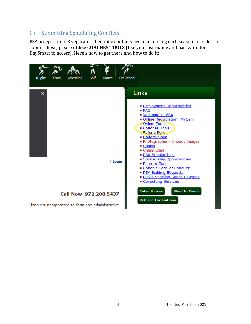### G) Submitting Scheduling Conflicts

PSA accepts up to 3 separate scheduling conflicts per team during each season. In order to submit these, please utilize **COACHES TOOLS** (Use your username and password for DaySmart to access). Here's how to get there and how to do it:

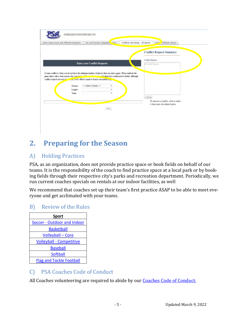| Enter Game Score and Officials Evaluation | Div and Practice (Basketb, Priv)                                                         | Conflicts and Setup - All Sports                                                                                                                                                                                                    | George Roffman Library<br><b>Conflict Request Summary</b>                                  |
|-------------------------------------------|------------------------------------------------------------------------------------------|-------------------------------------------------------------------------------------------------------------------------------------------------------------------------------------------------------------------------------------|--------------------------------------------------------------------------------------------|
|                                           | <b>Enter your Conflict Requests</b>                                                      |                                                                                                                                                                                                                                     | <b>Conflict Requests</b><br>No Conflict Requests                                           |
|                                           | conflict requests are not our accounted every effort is made to honor reasonable require | A team conflict is when you do not have the minimum number of players that can start a game. Please indicate the<br>game dates with a clear reason why your term of the military that and otherwise would need to forfeit. Although |                                                                                            |
| <b>Season</b>                             | << Select a Season >>                                                                    |                                                                                                                                                                                                                                     |                                                                                            |
| League:<br>Tears:                         |                                                                                          | ٠                                                                                                                                                                                                                                   |                                                                                            |
|                                           |                                                                                          |                                                                                                                                                                                                                                     | $\cup$ Delete<br>To remove a conflict, click to select<br>it then press the delete button. |
|                                           |                                                                                          | Net                                                                                                                                                                                                                                 |                                                                                            |
|                                           |                                                                                          |                                                                                                                                                                                                                                     |                                                                                            |

# **2. Preparing for the Season**

### A) Holding Practices

PSA, as an organization, does not provide practice space or book fields on behalf of our teams. It is the responsibility of the coach to find practice space at a local park or by booking fields through their respective city's parks and recreation department. Periodically, we run current coaches specials on rentals at our indoor facilities, as well

We recommend that coaches set up their team's first practice ASAP to be able to meet everyone and get acclimated with your teams.

#### B) Review of the Rules



### C) PSA Coaches Code of Conduct

All Coaches volunteering are required to abide by our **Coaches Code of Conduct**.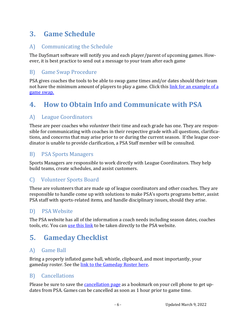# **3. Game Schedule**

### A) Communicating the Schedule

The DaySmart software will notify you and each player/parent of upcoming games. However, it is best practice to send out a message to your team after each game

### B) Game Swap Procedure

PSA gives coaches the tools to be able to swap game times and/or dates should their team not have the minimum amount of players to play a game. Click this link for [an example of a](http://www.psaplano.org/files/soccer/PSASoccerGameSwapExample.pdf)  [game swap.](http://www.psaplano.org/files/soccer/PSASoccerGameSwapExample.pdf)

# **4. How to Obtain Info and Communicate with PSA**

### A) League Coordinators

These are peer coaches who *volunteer* their time and each grade has one. They are responsible for communicating with coaches in their respective grade with all questions, clarifications, and concerns that may arise prior to or during the current season. If the league coordinator is unable to provide clarification, a PSA Staff member will be consulted.

#### B) PSA Sports Managers

Sports Managers are responsible to work directly with League Coordinators. They help build teams, create schedules, and assist customers.

### C) Volunteer Sports Board

These are volunteers that are made up of league coordinators and other coaches. They are responsible to handle come up with solutions to make PSA's sports programs better, assist PSA staff with sports-related items, and handle disciplinary issues, should they arise.

### D) PSA Website

The PSA website has all of the information a coach needs including season dates, coaches tools, etc. You ca[n use this link](http://www.psaplano.org/Home.aspx) to be taken directly to the PSA website.

### **5. Gameday Checklist**

#### A) Game Ball

Bring a properly inflated game ball, whistle, clipboard, and most importantly, your gameday roster. See the [link to the Gameday Roster here.](http://www.psaplano.org/files/soccer/2020SpringOutdoorRosterForm.pdf)

#### B) Cancellations

Please be sure to save the *cancellation page* as a bookmark on your cell phone to get updates from PSA. Games can be cancelled as soon as 1 hour prior to game time.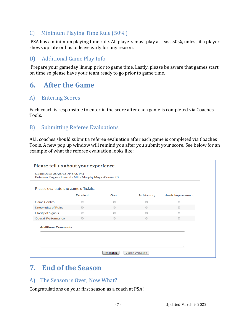### C) Minimum Playing Time Rule (50%)

PSA has a minimum playing time rule. All players must play at least 50%, unless if a player shows up late or has to leave early for any reason.

### D) Additional Game Play Info

Prepare your gameday lineup prior to game time. Lastly, please be aware that games start on time so please have your team ready to go prior to game time.

### **6. After the Game**

### A) Entering Scores

Each coach is responsible to enter in the score after each game is completed via Coaches Tools.

### B) Submitting Referee Evaluations

ALL coaches should submit a referee evaluation after each game is completed via Coaches Tools. A new pop up window will remind you after you submit your score. See below for an example of what the referee evaluation looks like:

| Please tell us about your experience.                                                     |                |                |              |                   |  |
|-------------------------------------------------------------------------------------------|----------------|----------------|--------------|-------------------|--|
| Game Date: 06/25/15 7:45:00 PM<br>Between: Eagles - Harrod - MU - Murphy Magic-Conner (*) |                |                |              |                   |  |
| Please evaluate the game officials.                                                       |                |                |              |                   |  |
|                                                                                           | Excellent      | Good           | Satisfactory | Needs Improvement |  |
| <b>Game Control</b>                                                                       | $\circledcirc$ | ◉              | ∩            | $\circledcirc$    |  |
| Knowledge of Rules                                                                        | $\circledcirc$ | $\odot$        | $\odot$      | $\circledcirc$    |  |
| <b>Clarity of Signals</b>                                                                 | ◉              | ◉              | ∩            | ◉                 |  |
| <b>Overall Performance</b>                                                                | $\circledcirc$ | $\circledcirc$ | $\odot$      | $\circledcirc$    |  |
| <b>Additional Comments</b>                                                                |                |                |              |                   |  |
|                                                                                           |                |                |              | af.               |  |
| <b>Submit Evaluation</b><br>No Thanks                                                     |                |                |              |                   |  |

# **7. End of the Season**

#### A) The Season is Over, Now What?

Congratulations on your first season as a coach at PSA!